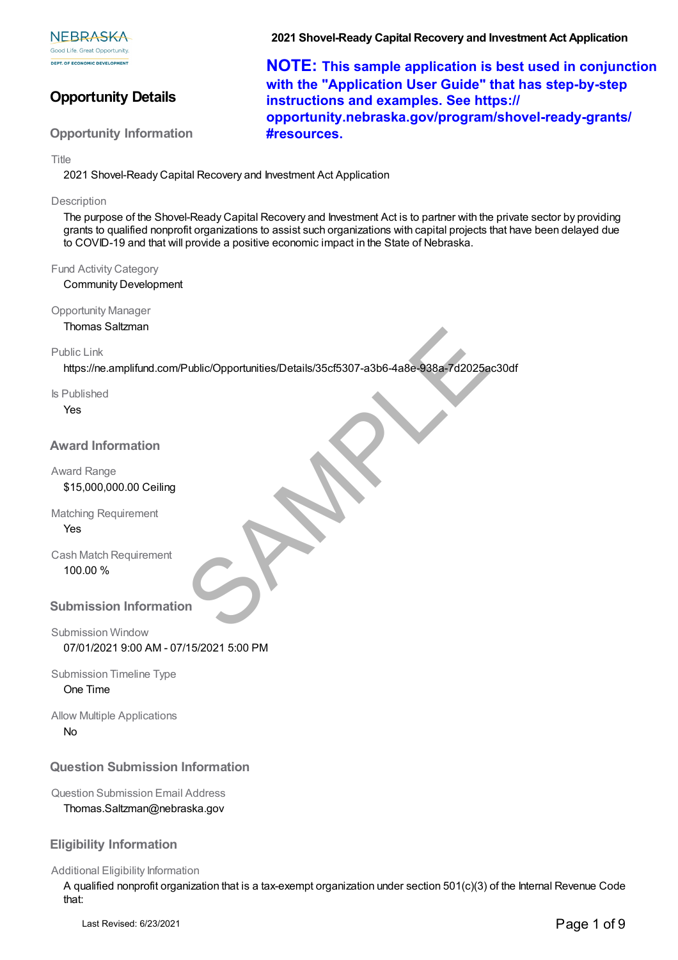# **Opportunity Details**

## **Opportunity Information**

**2021 Shovel-Ready Capital Recovery and Investment Act Application**

**NOTE: This sample application is best used in conjunction with the "Application User Guide" that has step-by-step instructions and examples. See https:// opportunity.nebraska.gov/program/shovel-ready-grants/ #resources.**

Title

2021 Shovel-Ready Capital Recovery and Investment Act Application

#### **Description**

The purpose of the Shovel-Ready Capital Recovery and Investment Act is to partner with the private sector by providing grants to qualified nonprofit organizations to assist such organizations with capital projects that have been delayed due to COVID-19 and that will provide a positive economic impact in the State of Nebraska.

#### Fund Activity Category

Community Development

Opportunity Manager

Thomas Saltzman

#### Public Link

https://ne.amplifund.com/Public/Opportunities/Details/35cf5307-a3b6-4a8e-938a-7d2025ac30df Public/Opportunities/Details/35cf5307-a3b6-4a8e-938a-7d2025a<br>
An<br>
In<br>
In<br>
In<br>
In<br>
In<br>
In

Is Published

Yes

## **Award Information**

Award Range

## \$15,000,000.00 Ceiling

Matching Requirement Yes

Cash Match Requirement 100.00 %

### **Submission Information**

Submission Window 07/01/2021 9:00 AM - 07/15/2021 5:00 PM

Submission Timeline Type One Time

Allow Multiple Applications No

# **Question Submission Information**

Question Submission Email Address

Thomas.Saltzman@nebraska.gov

# **Eligibility Information**

#### Additional Eligibility Information

A qualified nonprofit organization that is a tax-exempt organization under section 501(c)(3) of the Internal Revenue Code that: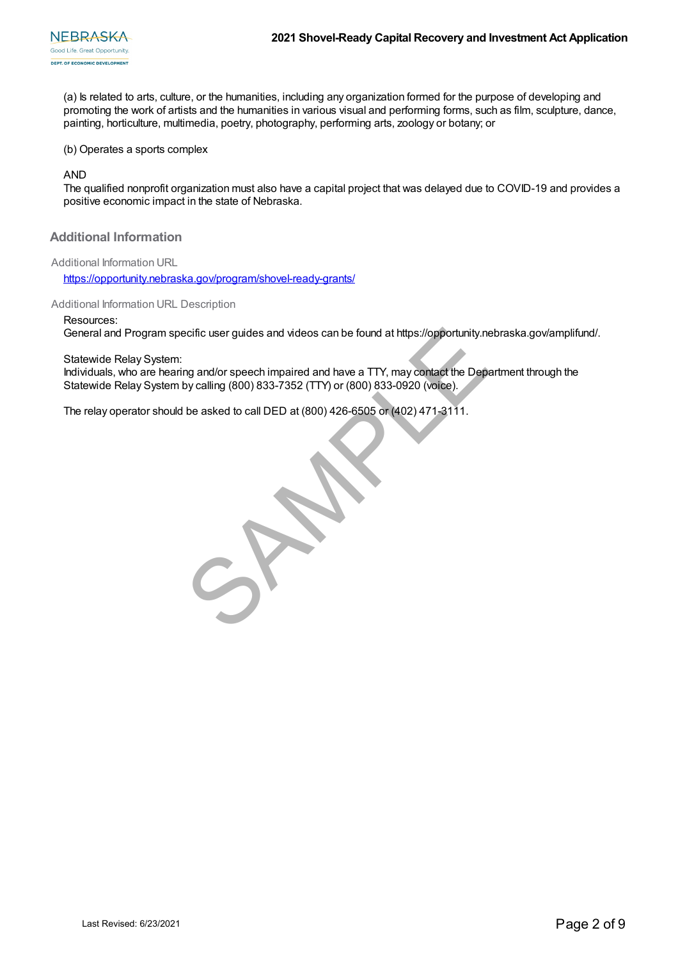(a) Is related to arts, culture, or the humanities, including any organization formed for the purpose of developing and promoting the work of artists and the humanities in various visual and performing forms, such as film, sculpture, dance, painting, horticulture, multimedia, poetry, photography, performing arts, zoology or botany; or

(b) Operates a sports complex

AND

The qualified nonprofit organization must also have a capital project that was delayed due to COVID-19 and provides a positive economic impact in the state of Nebraska.

**Additional Information**

Additional Information URL

https://opportunity.nebraska.gov/program/shovel-ready-grants/

Additional Information URL Description

Resources:

General and Program specific user guides and videos can be found at https://opportunity.nebraska.gov/amplifund/.

Statewide Relay System:

Individuals, who are hearing and/or speech impaired and have a TTY, may contact the Department through the Statewide Relay System by calling (800) 833-7352 (TTY) or (800) 833-0920 (voice).

The relay operator should be asked to call DED at (800) 426-6505 or (402) 471-3111.

enris and Program specific user guides and videos can be found at https://opportunity.net<br>wide Relay System:<br>d/dulals, who are hearing and/or speech impaired and have a TTY, may contact the Depe<br>wide Relay System by callin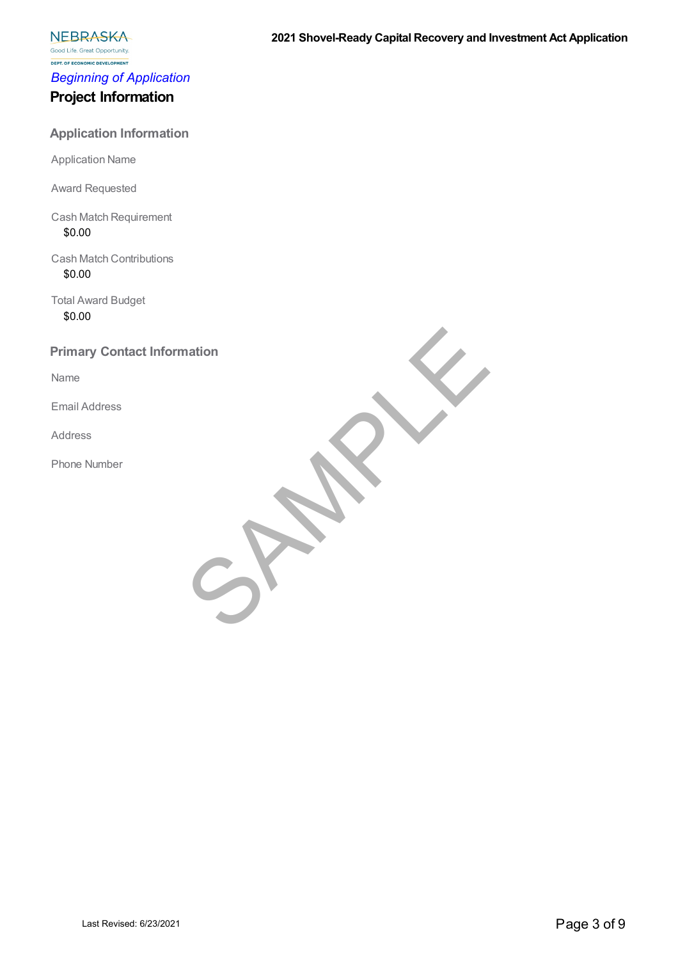**NEBRASKA** Good Life. Great Opportunity.

**DEPT. OF ECONOMIC DEVELOPMENT** *Beginning of Application*

# **Project Information**

# **Application Information**

Application Name

Award Requested

Cash Match Requirement \$0.00

Cash Match Contributions \$0.00

Total Award Budget \$0.00

# **Primary Contact Information SAMPLE**

Name

Email Address

Address

Phone Number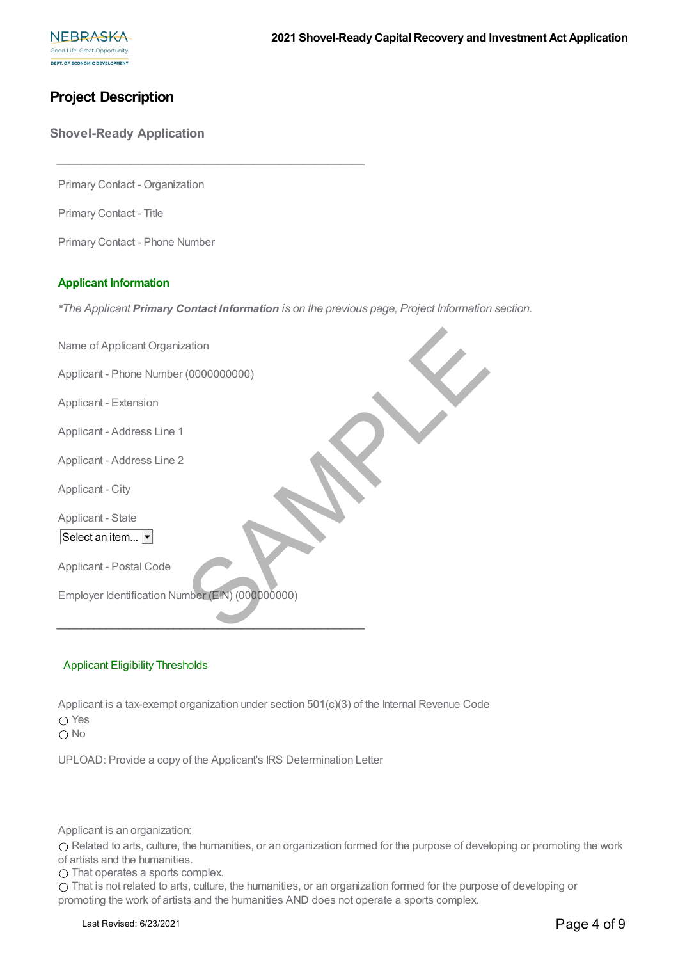# **Project Description**

**Shovel-Ready Application**

Primary Contact - Organization

**\_\_\_\_\_\_\_\_\_\_\_\_\_\_\_\_\_\_\_\_\_\_\_\_\_\_\_\_\_\_\_\_\_\_\_\_\_\_\_\_\_\_\_\_\_\_\_\_\_\_**

Primary Contact - Title

Primary Contact - Phone Number

#### **Applicant Information**

*\*The Applicant Primary Contact Information is on the previous page, Project Information section.*

| Name of Applicant Organization                                                                                                                                                                                                                                                                                                                                                                                 |
|----------------------------------------------------------------------------------------------------------------------------------------------------------------------------------------------------------------------------------------------------------------------------------------------------------------------------------------------------------------------------------------------------------------|
| Applicant - Phone Number (0000000000)                                                                                                                                                                                                                                                                                                                                                                          |
| Applicant - Extension                                                                                                                                                                                                                                                                                                                                                                                          |
| Applicant - Address Line 1                                                                                                                                                                                                                                                                                                                                                                                     |
| Applicant - Address Line 2                                                                                                                                                                                                                                                                                                                                                                                     |
| Applicant - City                                                                                                                                                                                                                                                                                                                                                                                               |
| Applicant - State                                                                                                                                                                                                                                                                                                                                                                                              |
| Select an item                                                                                                                                                                                                                                                                                                                                                                                                 |
| Applicant - Postal Code                                                                                                                                                                                                                                                                                                                                                                                        |
| Employer Identification Number (EIN) (000000000)                                                                                                                                                                                                                                                                                                                                                               |
|                                                                                                                                                                                                                                                                                                                                                                                                                |
|                                                                                                                                                                                                                                                                                                                                                                                                                |
| <b>Applicant Eligibility Thresholds</b>                                                                                                                                                                                                                                                                                                                                                                        |
| Applicant is a tax-exempt organization under section $501(c)(3)$ of the Internal Revenue Code<br>$\bigcirc$ Yes<br>$\bigcirc$ No                                                                                                                                                                                                                                                                               |
| UPLOAD: Provide a copy of the Applicant's IRS Determination Letter                                                                                                                                                                                                                                                                                                                                             |
|                                                                                                                                                                                                                                                                                                                                                                                                                |
| Applicant is an organization:<br>○ Related to arts, culture, the humanities, or an organization formed for the purpose of devel<br>of artists and the humanities.<br>$\bigcirc$ That operates a sports complex.<br>O That is not related to arts, culture, the humanities, or an organization formed for the purpos<br>promoting the work of artists and the humanities AND does not operate a sports complex. |
| Last Revised: 6/23/2021                                                                                                                                                                                                                                                                                                                                                                                        |

#### Applicant Eligibility Thresholds

Related to arts, culture, the humanities, or an organization formed for the purpose of developing or promoting the work of artists and the humanities.

That is not related to arts, culture, the humanities, or an organization formed for the purpose of developing or promoting the work of artists and the humanities AND does not operate a sports complex.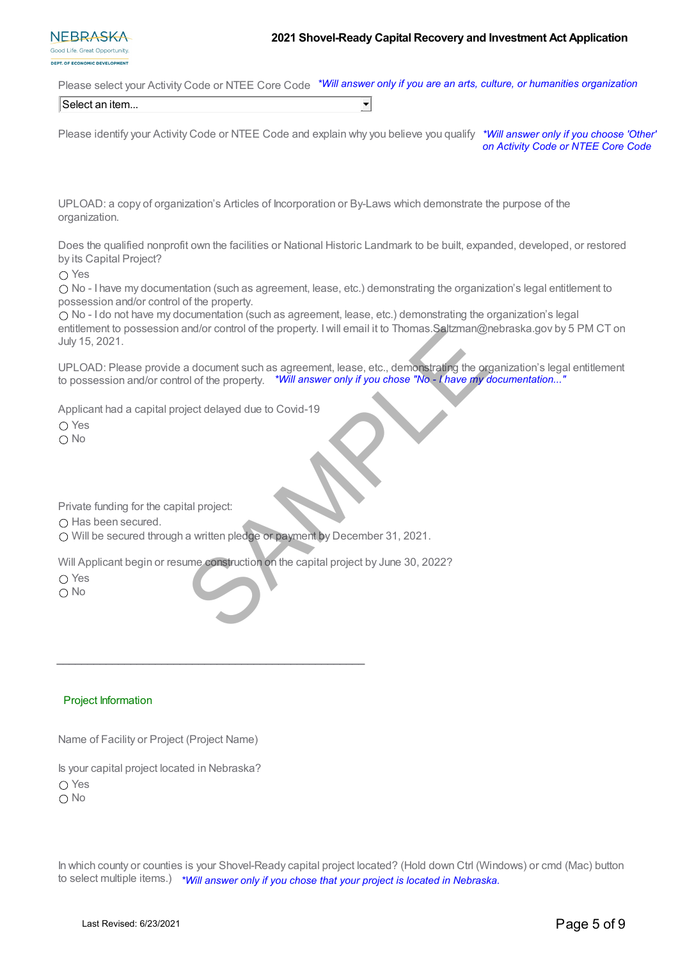Please select your Activity Code or NTEE Core Code *\*Will answer only if you are an arts, culture, or humanities organization*

Select an item...

Please identify your Activity Code or NTEE Code and explain why you believe you qualify *\*Will answer only if you choose 'Other' on Activity Code or NTEE Core Code*

 $\blacktriangledown$ 

UPLOAD: a copy of organization's Articles of Incorporation or By-Laws which demonstrate the purpose of the organization.

Does the qualified nonprofit own the facilities or National Historic Landmark to be built, expanded, developed, or restored by its Capital Project?

○ Yes

No - I have my documentation (such as agreement, lease, etc.) demonstrating the organization's legal entitlement to possession and/or control of the property.

No - I do not have my documentation (such as agreement, lease, etc.) demonstrating the organization's legal entitlement to possession and/or control of the property. I will email it to Thomas. Saltzman@nebraska.gov by 5 PM CT on July 15, 2021.

UPLOAD: Please provide a document such as agreement, lease, etc., demonstrating the organization's legal entitlement to possession and/or control of the property. *\*Will answer only if you chose "No - I have my documentation..."* and/or control of the property. I will email it to Thomas. Saltzman@r<br>a document such as agreement, lease, etc., demonstrating the ord of the property. "Will answer only if you chose "No - I have my or<br>igect delayed due to

Applicant had a capital project delayed due to Covid-19

○ Yes

O No

Private funding for the capital project:

 $\bigcap$  Has been secured.

Will be secured through a written pledge or payment by December 31, 2021.

**\_\_\_\_\_\_\_\_\_\_\_\_\_\_\_\_\_\_\_\_\_\_\_\_\_\_\_\_\_\_\_\_\_\_\_\_\_\_\_\_\_\_\_\_\_\_\_\_\_\_**

Will Applicant begin or resume construction on the capital project by June 30, 2022?

○ Yes

O No

#### Project Information

Name of Facility or Project (Project Name)

Is your capital project located in Nebraska?

∩ Yes

○ No

In which county or counties is your Shovel-Ready capital project located? (Hold down Ctrl (Windows) or cmd (Mac) button to select multiple items.) *\*Will answer only if you chose that your project is located in Nebraska.*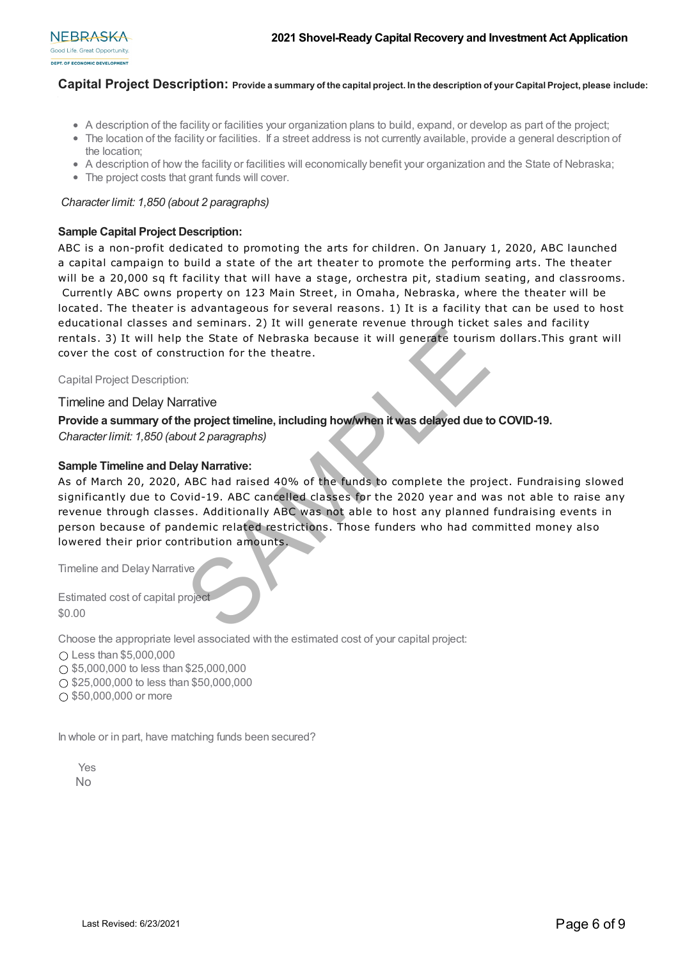

## **Capital Project Description: Provide a summary of the capital project. In the description of your Capital Project, please include:**

- A description of the facility or facilities your organization plans to build, expand, or develop as part of the project;
- The location of the facility or facilities. If a street address is not currently available, provide a general description of the location;
- A description of how the facility or facilities will economically benefit your organization and the State of Nebraska;
- The project costs that grant funds will cover.

#### *Character limit: 1,850 (about 2 paragraphs)*

#### **Sample Capital Project Description:**

ABC is a non-profit dedicated to promoting the arts for children. On January 1, 2020, ABC launched a capital campaign to build a state of the art theater to promote the performing arts. The theater will be a 20,000 sq ft facility that will have a stage, orchestra pit, stadium seating, and classrooms. Currently ABC owns property on 123 Main Street, in Omaha, Nebraska, where the theater will be located. The theater is advantageous for several reasons. 1) It is a facility that can be used to host educational classes and seminars. 2) It will generate revenue through ticket sales and facility rentals. 3) It will help the State of Nebraska because it will generate tourism dollars.This grant will cover the cost of construction for the theatre.

Capital Project Description:

#### Timeline and Delay Narrative

#### **Provide a summary of the project timeline, including how/when it was delayed due to COVID-19.**

*Character limit: 1,850 (about 2 paragraphs)*

#### **Sample Timeline and Delay Narrative:**

As of March 20, 2020, ABC had raised 40% of the funds to complete the project. Fundraising slowed significantly due to Covid-19. ABC cancelled classes for the 2020 year and was not able to raise any revenue through classes. Additionally ABC was not able to host any planned fundraising events in person because of pandemic related restrictions. Those funders who had committed money also lowered their prior contribution amounts. External constrained the State of Nebraska because it will generate tourish<br>
Last Revised: Solid Depth State of Nebraska because it will generate tourish<br>
the cost of construction for the theatre.<br>
Ellian and Delay Narrati

Timeline and Delay Narrative

Estimated cost of capital project \$0.00

Choose the appropriate level associated with the estimated cost of your capital project:

 $\bigcirc$  Less than \$5,000,000

 $\bigcap$  \$5,000,000 to less than \$25,000,000

 $\bigcirc$  \$25,000,000 to less than \$50,000,000

 $\bigcirc$  \$50,000,000 or more

In whole or in part, have matching funds been secured?

Yes No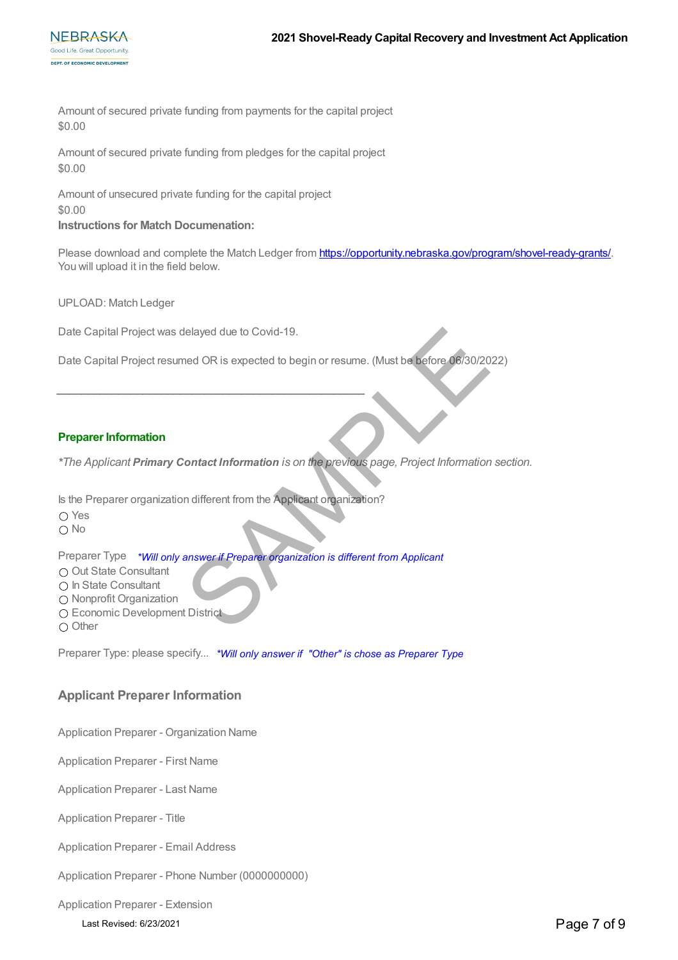

Amount of secured private funding from payments for the capital project \$0.00

Amount of secured private funding from pledges for the capital project \$0.00

Amount of unsecured private funding for the capital project \$0.00

#### **Instructions for Match Documenation:**

Please download and complete the Match Ledger from https://opportunity.nebraska.gov/program/shovel-ready-grants/. You will upload it in the field below.

UPLOAD: Match Ledger

Date Capital Project was delayed due to Covid-19.

Date Capital Project resumed OR is expected to begin or resume. (Must be before 06/30/2022) Ielayed due to Covid-19.<br>
Indeed OR is expected to begin or resume. (Must be before 06/30/20<br>
Indifferent Information is on the previous page, Project Information<br>
In different from the Applicant organization?<br>
Intervent o

#### **Preparer Information**

*\*The Applicant Primary Contact Information is on the previous page, Project Information section.*

Is the Preparer organization different from the Applicant organization?

**\_\_\_\_\_\_\_\_\_\_\_\_\_\_\_\_\_\_\_\_\_\_\_\_\_\_\_\_\_\_\_\_\_\_\_\_\_\_\_\_\_\_\_\_\_\_\_\_\_\_**

 $\bigcap$  Yes O No

Preparer Type *\*Will only answer if Preparer organization is different from Applicant*

O Out State Consultant

 $\bigcap$  In State Consultant

O Nonprofit Organization

O Economic Development District

 $\bigcirc$  Other

Preparer Type: please specify... *\*Will only answer if "Other" is chose as Preparer Type*

# **Applicant Preparer Information**

Application Preparer - Organization Name

Application Preparer - First Name

Application Preparer - Last Name

Application Preparer - Title

Application Preparer - Email Address

Application Preparer - Phone Number (0000000000)

Application Preparer - Extension

Last Revised: 6/23/2021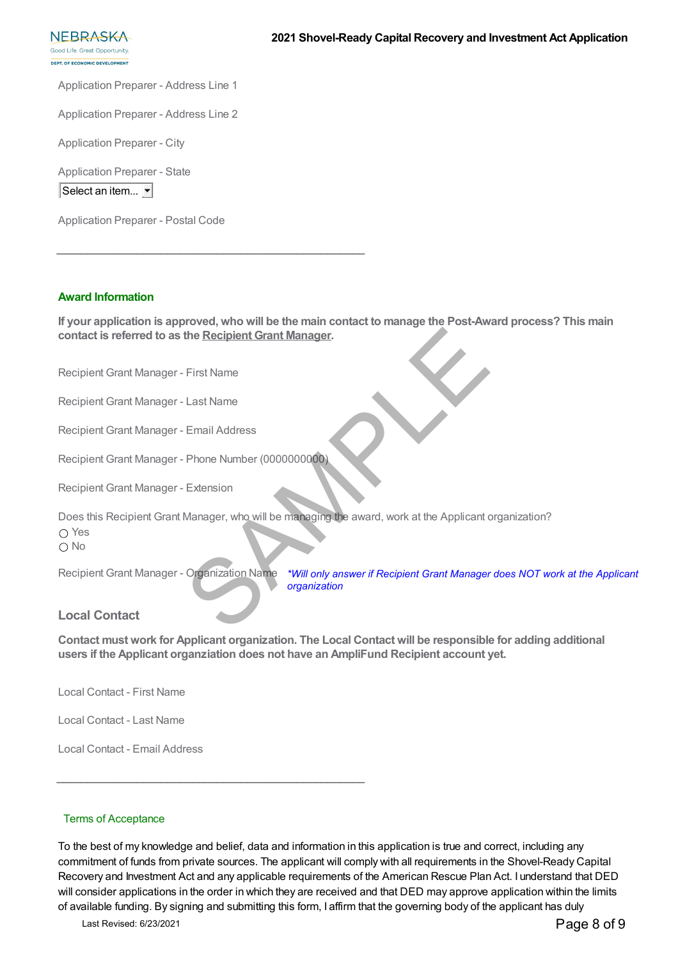Good Life, Great Opportunity **DEBT OF ECONOMIC DEVELOPMENT** 

**NEBRASKA** 

Application Preparer - Address Line 1

Application Preparer - Address Line 2

Application Preparer - City

Application Preparer - State

Select an item...  $\blacktriangleright$ 

Application Preparer - Postal Code

#### **Award Information**

**If your application is approved, who will be the main contact to manage the Post-Award process? This main contact is referred to as the Recipient Grant Manager.**

Recipient Grant Manager - First Name

Recipient Grant Manager - Last Name

Recipient Grant Manager - Email Address

Recipient Grant Manager - Phone Number (0000000000)

**\_\_\_\_\_\_\_\_\_\_\_\_\_\_\_\_\_\_\_\_\_\_\_\_\_\_\_\_\_\_\_\_\_\_\_\_\_\_\_\_\_\_\_\_\_\_\_\_\_\_**

Recipient Grant Manager - Extension

Does this Recipient Grant Manager, who will be managing the award, work at the Applicant organization? ○ Yes The Recipient Grant Manager.<br>
First Name<br>
Email Address<br>
Phone Number (000000000000)<br>
Extension<br>
Manager, who will be managing the award, work at the Applicant of<br>
Organization Name<br>
TWill only answer if Recipient Grant Ma

 $\bigcap$  No

Recipient Grant Manager - Organization Name

**\_\_\_\_\_\_\_\_\_\_\_\_\_\_\_\_\_\_\_\_\_\_\_\_\_\_\_\_\_\_\_\_\_\_\_\_\_\_\_\_\_\_\_\_\_\_\_\_\_\_**

*\*Will only answer if Recipient Grant Manager does NOT work at the Applicant organization*

# **Local Contact**

**Contact must work for Applicant organization. The Local Contact will be responsible for adding additional users if the Applicant organziation does not have an AmpliFund Recipient account yet.**

Local Contact - First Name

Local Contact - Last Name

Local Contact - Email Address

#### Terms of Acceptance

To the best of my knowledge and belief, data and information in this application is true and correct, including any commitment of funds from private sources. The applicant will comply with all requirements in the Shovel-Ready Capital Recovery and Investment Act and any applicable requirements of the American Rescue Plan Act. I understand that DED will consider applications in the order in which they are received and that DED may approve application within the limits of available funding. By signing and submitting this form, I affirm that the governing body of the applicant has duly

Last Revised: 6/23/2021